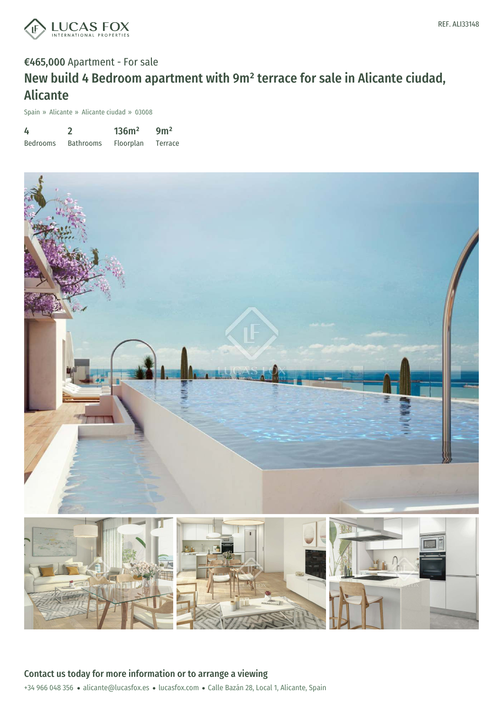

# €465,000 Apartment - For sale New build 4 Bedroom apartment with 9m² terrace for sale in Alicante ciudad, Alicante

Spain » Alicante » Alicante ciudad » 03008

| 4               |                  | 136m <sup>2</sup> | 9m <sup>2</sup> |
|-----------------|------------------|-------------------|-----------------|
| <b>Bedrooms</b> | <b>Bathrooms</b> | Floorplan         | Terrace         |



+34 966 048 356 · alicante@lucasfox.es · lucasfox.com · Calle Bazán 28, Local 1, Alicante, Spain Contact us today for more information or to arrange a viewing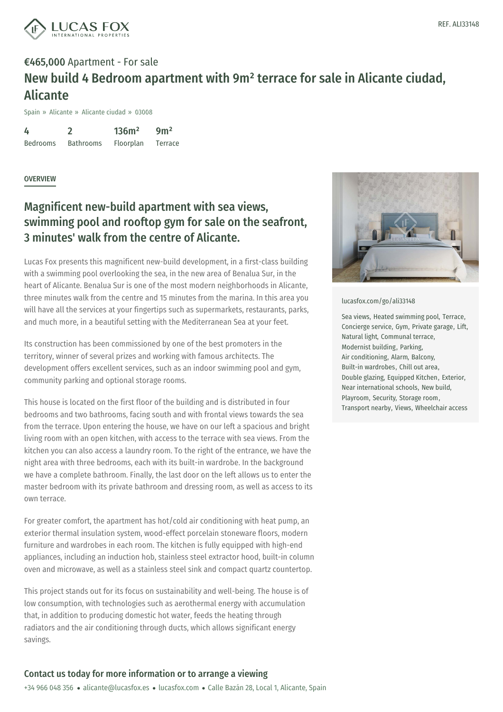

# €465,000 Apartment - For sale New build 4 Bedroom apartment with 9m² terrace for sale in Alicante ciudad, Alicante

Spain » Alicante » Alicante ciudad » 03008

4 Bedrooms 2 Bathrooms 136m² Floorplan 9m² Terrace

#### **OVERVIEW**

## Magnificent new-build apartment with sea views, swimming pool and rooftop gym for sale on the seafront, 3 minutes' walk from the centre of Alicante.

Lucas Fox presents this magnificent new-build development, in a first-class building with a swimming pool overlooking the sea, in the new area of Benalua Sur, in the heart of Alicante. Benalua Sur is one of the most modern neighborhoods in Alicante, three minutes walk from the centre and 15 minutes from the marina. In this area you will have all the services at your fingertips such as supermarkets, restaurants, parks, and much more, in a beautiful setting with the Mediterranean Sea at your feet.

Its construction has been commissioned by one of the best promoters in the territory, winner of several prizes and working with famous architects. The development offers excellent services, such as an indoor swimming pool and gym, community parking and optional storage rooms.

This house is located on the first floor of the building and is distributed in four bedrooms and two bathrooms, facing south and with frontal views towards the sea from the terrace. Upon entering the house, we have on our left a spacious and bright living room with an open kitchen, with access to the terrace with sea views. From the kitchen you can also access a laundry room. To the right of the entrance, we have the night area with three bedrooms, each with its built-in wardrobe. In the background we have a complete bathroom. Finally, the last door on the left allows us to enter the master bedroom with its private bathroom and dressing room, as well as access to its own terrace.

For greater comfort, the [apartment](mailto:alicante@lucasfox.es) has [hot/cold](https://www.lucasfox.com) air conditioning with heat pump, an exterior thermal insulation system, wood-effect porcelain stoneware floors, modern furniture and wardrobes in each room. The kitchen is fully equipped with high-end appliances, including an induction hob, stainless steel extractor hood, built-in column oven and microwave, as well as a stainless steel sink and compact quartz countertop.

This project stands out for its focus on sustainability and well-being. The house is of low consumption, with technologies such as aerothermal energy with accumulation that, in addition to producing domestic hot water, feeds the heating through radiators and the air conditioning through ducts, which allows significant energy savings.



#### [lucasfox.com/go/ali33148](https://www.lucasfox.com/go/ali33148)

Sea views, Heated swimming pool, Terrace, Concierge service, Gym, Private garage, Lift, Natural light, Communal terrace, Modernist building, Parking, Air conditioning, Alarm, Balcony, Built-in wardrobes, Chill out area, Double glazing, Equipped Kitchen, Exterior, Near international schools, New build, Playroom, Security, Storage room, Transport nearby, Views, Wheelchair access

### Contact us today for more information or to arrange a viewing

+34 966 048 356 · alicante@lucasfox.es · lucasfox.com · Calle Bazán 28, Local 1, Alicante, Spain